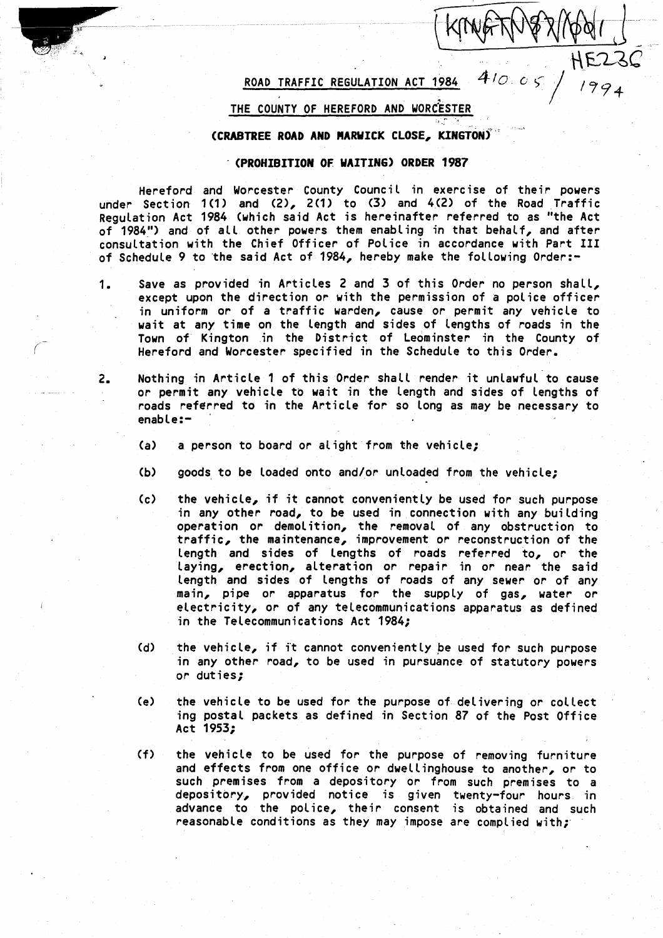# ROAD TRAFFIC REGULATION ACT 1984

 $HE23C$ 

f

#### i THE COUNTY OF HEREFORD AND WORCESTER

### (CRABTREE ROAD AND MARWICK CLOSE, KINGTON)`

### (PROHIBITION OF WAITING) ORDER 1987

Hereford and Worcester County Council in exercise of their powers under Section 1(1) and (2), 2(1) to (3) and 4,(2) of the Road Traffic Regulation Act 1984 (which said Act is hereinafter referred to as "the Act of 1984") and of all other powers them enabling in that behalf, and after consultation with the Chief Officer of Police in accordance with Part III of Schedule 9 to the said Act of 1984, hereby make the following Order :-

- 1. Save as provided in Articles 2 and 3 of this Order no person shall, except upon the direction or with the permission of a police officer in uniform or of a traffic warden, cause or permit any vehicle to wait at any time on the length and sides of lengths of roads in the Town of Kington in the District of Leominster in the County of Hereford and Worcester specified in the Schedule to this Order.
- <sup>2</sup> . Nothing in Article <sup>1</sup> of this Order shall render it unlawful to cause or permit any vehicle to wait in the length and sides of lengths of roads referred to in the Article for so long as may be necessary to enable :-
	- (a) a person to board or alight from the vehicle;
	- $(b)$  goods to be loaded onto and/or unloaded from the vehicle;
	- (c) the vehicle, if it cannot conveniently be used for such purpose in any other road, to be used in connection with any building operation or demolition, the removal of any obstruction to traffic, the maintenance, improvement or reconstruction of the length and sides of lengths of roads referred to, or the laying, erection, alteration or repair in or near the said length and sides of lengths of roads of any sewer or of any main, pipe or apparatus for the supply of gas, water or electricity, or of any telecommunications apparatus as defined in the Telecommunications Act 1984;
	- (d) the vehicle, if <sup>i</sup>'t cannot conveniently be used for such purpose in any other road, to be used in pursuance of statutory powers or duties;
	- (e) the vehicle to be used for the purpose of delivering or collect ing postal packets as defined in Section 87 of the Post Office Act 1953;
	- (f) the vehicle to be used for the purpose of removing furniture and effects from one office or dwellinghouse to another, or to such premises from a depository or from such premises to a depository, provided notice is given twenty-four hours in advance to the police, their consent is obtained and such reasonable conditions as they may impose are complied with;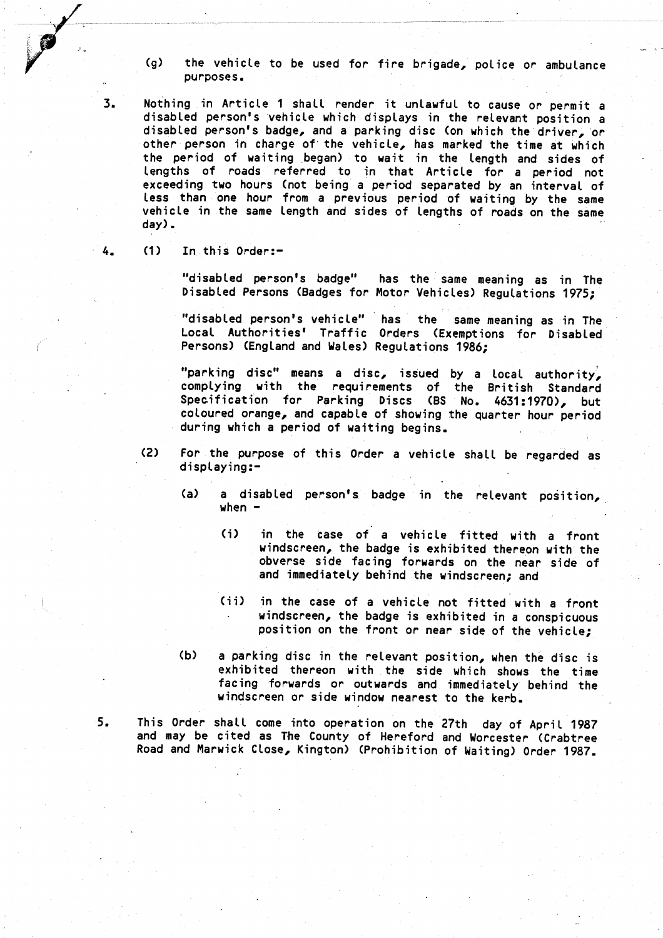(g) the vehicle to be used for fire brigade, police or ambulance purposes .

3 . Nothing in Article <sup>1</sup> shall render it unlawful to cause or permit a disabled person's vehicle which displays in the relevant position a disabled person's badge, and a parking disc (on which the driver,'or other person in charge of the vehicle, has marked the time at which the period of waiting began) to wait in the length and sides of lengths of roads referred to in that Article for <sup>a</sup> period not exceeding two hours (not being a period separated by an interval of less than one hour from <sup>a</sup> previous period of waiting by the same vehicle in the same length and sides of lengths of roads on the same day) .

4. (1) In this Order:-

"disabled person's badge" has the same meaning as in The Disabled Persons (Badges for Motor Vehicles) Regulations 1975;

"disabled person's vehicle" has the same meaning as in The Local Authorities' Traffic Orders (Exemptions for Disabled Persons) (England and Wales) Regulations 1986;

"parking disc" means a disc, issued by <sup>a</sup> local authority, complying with the requirements of the British Standard Specification for Parking Discs (BS No . 4631 :1970), but coloured orange, and capable of showing the quarter hour period during which <sup>a</sup> period of waiting begins .

- (2) For the purpose of this Order <sup>a</sup> vehicle shall be regarded as displaying:-
	- (a) a disabled person's badge in the relevant position, when  $-$ 
		- (i) in the case of a vehicle fitted with <sup>a</sup> front windscreen, the badge is exhibited thereon with the obverse side facing forwards on the near side of and immediately behind the windscreen; and
		- (ii) in the case of a vehicle not fitted with a front windscreen, the badge is exhibited in a conspicuous position on the front or near side of the vehicle;
	- (b) <sup>a</sup> parking disc in the relevant position, when the disc is exhibited thereon with the side which shows the time facing forwards or outwards and immediately behind the windscreen or side window nearest to the kerb.

<sup>5</sup> . This Order shall come into operation on the 27th day of April 1987 and may be cited as The County of Hereford and Worcester (Crabtree Road and Marwick Close, Kington) (Prohibition of Waiting) Order 1987 .